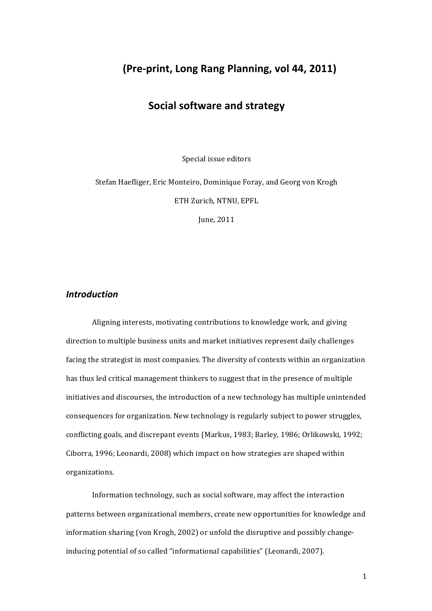# **(Pre-print, Long Rang Planning, vol 44, 2011)**

# **Social software and strategy**

Special issue editors

Stefan Haefliger, Eric Monteiro, Dominique Foray, and Georg von Krogh ETH Zurich, NTNU, EPFL

June, 2011

# *Introduction*

Aligning interests, motivating contributions to knowledge work, and giving direction to multiple business units and market initiatives represent daily challenges facing the strategist in most companies. The diversity of contexts within an organization has thus led critical management thinkers to suggest that in the presence of multiple initiatives and discourses, the introduction of a new technology has multiple unintended consequences for organization. New technology is regularly subject to power struggles, conflicting goals, and discrepant events (Markus, 1983; Barley, 1986; Orlikowski, 1992; Ciborra, 1996; Leonardi, 2008) which impact on how strategies are shaped within organizations. 

Information technology, such as social software, may affect the interaction patterns between organizational members, create new opportunities for knowledge and information sharing (von Krogh, 2002) or unfold the disruptive and possibly changeinducing potential of so called "informational capabilities" (Leonardi, 2007).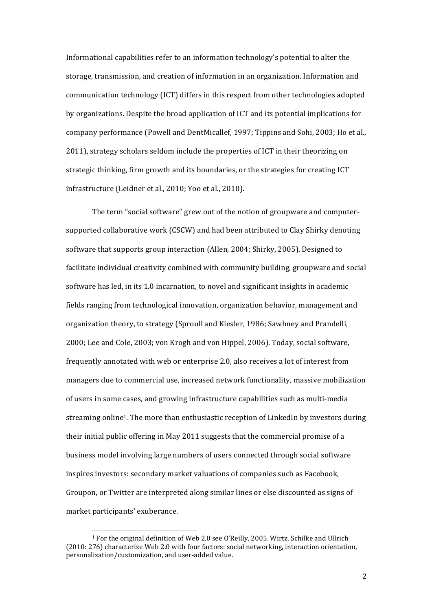Informational capabilities refer to an information technology's potential to alter the storage, transmission, and creation of information in an organization. Information and communication technology (ICT) differs in this respect from other technologies adopted by organizations. Despite the broad application of ICT and its potential implications for company performance (Powell and DentMicallef, 1997; Tippins and Sohi, 2003; Ho et al., 2011), strategy scholars seldom include the properties of ICT in their theorizing on strategic thinking, firm growth and its boundaries, or the strategies for creating ICT infrastructure (Leidner et al., 2010; Yoo et al., 2010).

The term "social software" grew out of the notion of groupware and computersupported collaborative work (CSCW) and had been attributed to Clay Shirky denoting software that supports group interaction (Allen, 2004; Shirky, 2005). Designed to facilitate individual creativity combined with community building, groupware and social software has led, in its 1.0 incarnation, to novel and significant insights in academic fields ranging from technological innovation, organization behavior, management and organization theory, to strategy (Sproull and Kiesler, 1986; Sawhney and Prandelli, 2000; Lee and Cole, 2003; von Krogh and von Hippel, 2006). Today, social software, frequently annotated with web or enterprise 2.0, also receives a lot of interest from managers due to commercial use, increased network functionality, massive mobilization of users in some cases, and growing infrastructure capabilities such as multi-media streaming online<sup>1</sup>. The more than enthusiastic reception of LinkedIn by investors during their initial public offering in May 2011 suggests that the commercial promise of a business model involving large numbers of users connected through social software inspires investors: secondary market valuations of companies such as Facebook, Groupon, or Twitter are interpreted along similar lines or else discounted as signs of market participants' exuberance.

<sup>&</sup>lt;sup>1</sup> For the original definition of Web 2.0 see O'Reilly, 2005. Wirtz, Schilke and Ullrich (2010: 276) characterize Web 2.0 with four factors: social networking, interaction orientation, personalization/customization, and user-added value.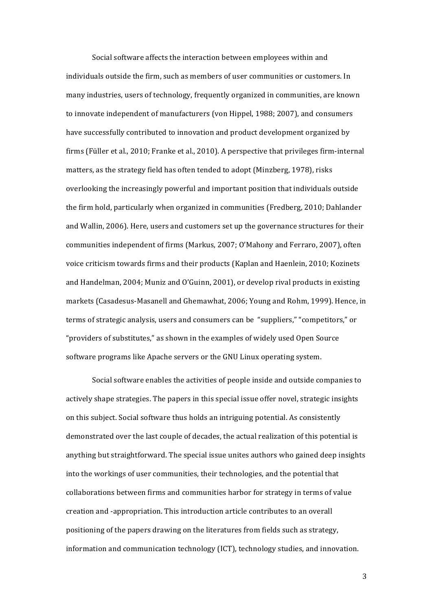Social software affects the interaction between employees within and individuals outside the firm, such as members of user communities or customers. In many industries, users of technology, frequently organized in communities, are known to innovate independent of manufacturers (von Hippel, 1988; 2007), and consumers have successfully contributed to innovation and product development organized by firms (Füller et al., 2010; Franke et al., 2010). A perspective that privileges firm-internal matters, as the strategy field has often tended to adopt (Minzberg, 1978), risks overlooking the increasingly powerful and important position that individuals outside the firm hold, particularly when organized in communities (Fredberg, 2010; Dahlander and Wallin, 2006). Here, users and customers set up the governance structures for their communities independent of firms (Markus, 2007; O'Mahony and Ferraro, 2007), often voice criticism towards firms and their products (Kaplan and Haenlein, 2010; Kozinets and Handelman, 2004; Muniz and O'Guinn, 2001), or develop rival products in existing markets (Casadesus-Masanell and Ghemawhat, 2006; Young and Rohm, 1999). Hence, in terms of strategic analysis, users and consumers can be "suppliers," "competitors," or "providers of substitutes," as shown in the examples of widely used Open Source software programs like Apache servers or the GNU Linux operating system.

Social software enables the activities of people inside and outside companies to actively shape strategies. The papers in this special issue offer novel, strategic insights on this subject. Social software thus holds an intriguing potential. As consistently demonstrated over the last couple of decades, the actual realization of this potential is anything but straightforward. The special issue unites authors who gained deep insights into the workings of user communities, their technologies, and the potential that collaborations between firms and communities harbor for strategy in terms of value creation and -appropriation. This introduction article contributes to an overall positioning of the papers drawing on the literatures from fields such as strategy, information and communication technology (ICT), technology studies, and innovation.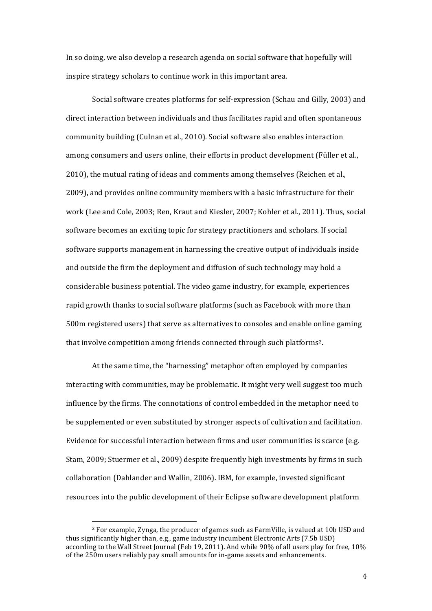In so doing, we also develop a research agenda on social software that hopefully will inspire strategy scholars to continue work in this important area.

Social software creates platforms for self-expression (Schau and Gilly, 2003) and direct interaction between individuals and thus facilitates rapid and often spontaneous community building (Culnan et al., 2010). Social software also enables interaction among consumers and users online, their efforts in product development (Füller et al., 2010), the mutual rating of ideas and comments among themselves (Reichen et al., 2009), and provides online community members with a basic infrastructure for their work (Lee and Cole, 2003; Ren, Kraut and Kiesler, 2007; Kohler et al., 2011). Thus, social software becomes an exciting topic for strategy practitioners and scholars. If social software supports management in harnessing the creative output of individuals inside and outside the firm the deployment and diffusion of such technology may hold a considerable business potential. The video game industry, for example, experiences rapid growth thanks to social software platforms (such as Facebook with more than 500m registered users) that serve as alternatives to consoles and enable online gaming that involve competition among friends connected through such platforms<sup>2</sup>.

At the same time, the "harnessing" metaphor often employed by companies interacting with communities, may be problematic. It might very well suggest too much influence by the firms. The connotations of control embedded in the metaphor need to be supplemented or even substituted by stronger aspects of cultivation and facilitation. Evidence for successful interaction between firms and user communities is scarce (e.g. Stam, 2009; Stuermer et al., 2009) despite frequently high investments by firms in such collaboration (Dahlander and Wallin, 2006). IBM, for example, invested significant resources into the public development of their Eclipse software development platform

 $2$  For example, Zynga, the producer of games such as FarmVille, is valued at 10b USD and thus significantly higher than, e.g., game industry incumbent Electronic Arts (7.5b USD) according to the Wall Street Journal (Feb 19, 2011). And while 90% of all users play for free, 10% of the 250m users reliably pay small amounts for in-game assets and enhancements.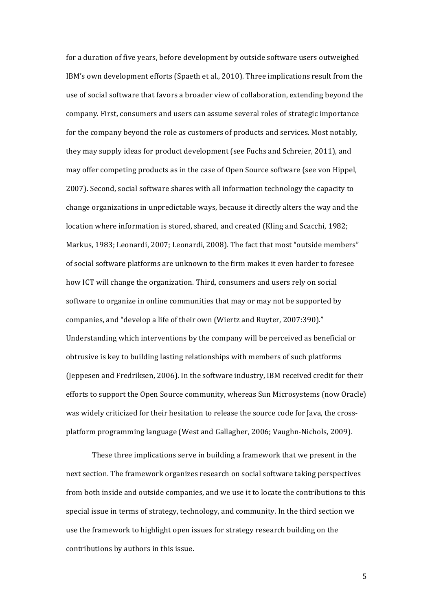for a duration of five years, before development by outside software users outweighed IBM's own development efforts (Spaeth et al., 2010). Three implications result from the use of social software that favors a broader view of collaboration, extending beyond the company. First, consumers and users can assume several roles of strategic importance for the company beyond the role as customers of products and services. Most notably, they may supply ideas for product development (see Fuchs and Schreier, 2011), and may offer competing products as in the case of Open Source software (see von Hippel, 2007). Second, social software shares with all information technology the capacity to change organizations in unpredictable ways, because it directly alters the way and the location where information is stored, shared, and created (Kling and Scacchi, 1982; Markus, 1983; Leonardi, 2007; Leonardi, 2008). The fact that most "outside members" of social software platforms are unknown to the firm makes it even harder to foresee how ICT will change the organization. Third, consumers and users rely on social software to organize in online communities that may or may not be supported by companies, and "develop a life of their own (Wiertz and Ruyter, 2007:390)." Understanding which interventions by the company will be perceived as beneficial or obtrusive is key to building lasting relationships with members of such platforms (Jeppesen and Fredriksen, 2006). In the software industry, IBM received credit for their efforts to support the Open Source community, whereas Sun Microsystems (now Oracle) was widely criticized for their hesitation to release the source code for Java, the crossplatform programming language (West and Gallagher, 2006; Vaughn-Nichols, 2009).

These three implications serve in building a framework that we present in the next section. The framework organizes research on social software taking perspectives from both inside and outside companies, and we use it to locate the contributions to this special issue in terms of strategy, technology, and community. In the third section we use the framework to highlight open issues for strategy research building on the contributions by authors in this issue.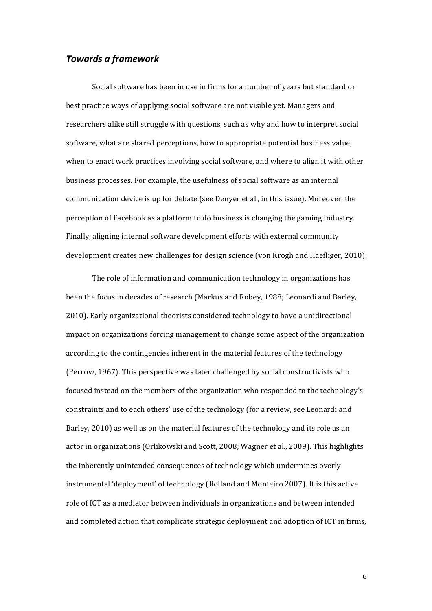# *Towards a framework*

Social software has been in use in firms for a number of years but standard or best practice ways of applying social software are not visible yet. Managers and researchers alike still struggle with questions, such as why and how to interpret social software, what are shared perceptions, how to appropriate potential business value, when to enact work practices involving social software, and where to align it with other business processes. For example, the usefulness of social software as an internal communication device is up for debate (see Denyer et al., in this issue). Moreover, the perception of Facebook as a platform to do business is changing the gaming industry. Finally, aligning internal software development efforts with external community development creates new challenges for design science (von Krogh and Haefliger, 2010).

The role of information and communication technology in organizations has been the focus in decades of research (Markus and Robey, 1988; Leonardi and Barley, 2010). Early organizational theorists considered technology to have a unidirectional impact on organizations forcing management to change some aspect of the organization according to the contingencies inherent in the material features of the technology (Perrow, 1967). This perspective was later challenged by social constructivists who focused instead on the members of the organization who responded to the technology's constraints and to each others' use of the technology (for a review, see Leonardi and Barley, 2010) as well as on the material features of the technology and its role as an actor in organizations (Orlikowski and Scott, 2008; Wagner et al., 2009). This highlights the inherently unintended consequences of technology which undermines overly instrumental 'deployment' of technology (Rolland and Monteiro 2007). It is this active role of ICT as a mediator between individuals in organizations and between intended and completed action that complicate strategic deployment and adoption of ICT in firms,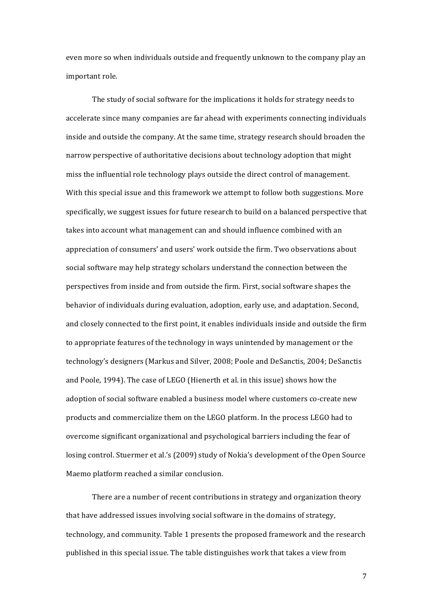even more so when individuals outside and frequently unknown to the company play an important role.

The study of social software for the implications it holds for strategy needs to accelerate since many companies are far ahead with experiments connecting individuals inside and outside the company. At the same time, strategy research should broaden the narrow perspective of authoritative decisions about technology adoption that might miss the influential role technology plays outside the direct control of management. With this special issue and this framework we attempt to follow both suggestions. More specifically, we suggest issues for future research to build on a balanced perspective that takes into account what management can and should influence combined with an appreciation of consumers' and users' work outside the firm. Two observations about social software may help strategy scholars understand the connection between the perspectives from inside and from outside the firm. First, social software shapes the behavior of individuals during evaluation, adoption, early use, and adaptation. Second, and closely connected to the first point, it enables individuals inside and outside the firm to appropriate features of the technology in ways unintended by management or the technology's designers (Markus and Silver, 2008; Poole and DeSanctis, 2004; DeSanctis and Poole, 1994). The case of LEGO (Hienerth et al. in this issue) shows how the adoption of social software enabled a business model where customers co-create new products and commercialize them on the LEGO platform. In the process LEGO had to overcome significant organizational and psychological barriers including the fear of losing control. Stuermer et al.'s (2009) study of Nokia's development of the Open Source Maemo platform reached a similar conclusion.

There are a number of recent contributions in strategy and organization theory that have addressed issues involving social software in the domains of strategy, technology, and community. Table 1 presents the proposed framework and the research published in this special issue. The table distinguishes work that takes a view from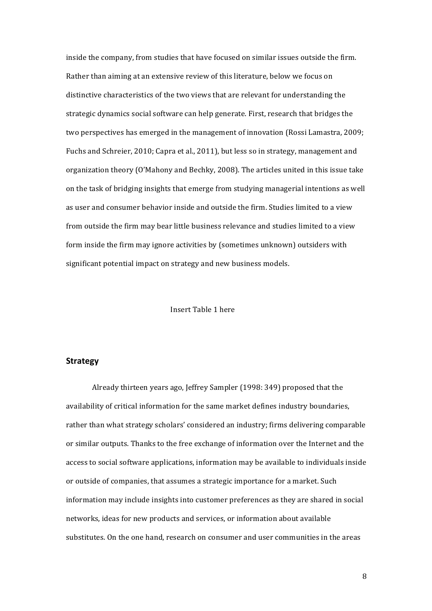inside the company, from studies that have focused on similar issues outside the firm. Rather than aiming at an extensive review of this literature, below we focus on distinctive characteristics of the two views that are relevant for understanding the strategic dynamics social software can help generate. First, research that bridges the two perspectives has emerged in the management of innovation (Rossi Lamastra, 2009; Fuchs and Schreier, 2010; Capra et al., 2011), but less so in strategy, management and organization theory (O'Mahony and Bechky, 2008). The articles united in this issue take on the task of bridging insights that emerge from studying managerial intentions as well as user and consumer behavior inside and outside the firm. Studies limited to a view from outside the firm may bear little business relevance and studies limited to a view form inside the firm may ignore activities by (sometimes unknown) outsiders with significant potential impact on strategy and new business models.

## Insert Table 1 here

#### **Strategy**

Already thirteen years ago, Jeffrey Sampler (1998: 349) proposed that the availability of critical information for the same market defines industry boundaries, rather than what strategy scholars' considered an industry; firms delivering comparable or similar outputs. Thanks to the free exchange of information over the Internet and the access to social software applications, information may be available to individuals inside or outside of companies, that assumes a strategic importance for a market. Such information may include insights into customer preferences as they are shared in social networks, ideas for new products and services, or information about available substitutes. On the one hand, research on consumer and user communities in the areas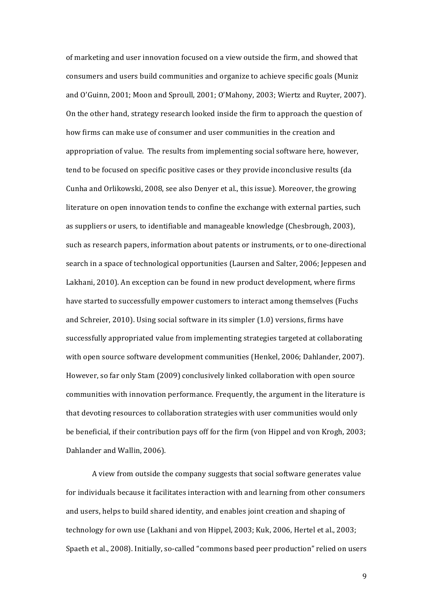of marketing and user innovation focused on a view outside the firm, and showed that consumers and users build communities and organize to achieve specific goals (Muniz and O'Guinn, 2001; Moon and Sproull, 2001; O'Mahony, 2003; Wiertz and Ruyter, 2007). On the other hand, strategy research looked inside the firm to approach the question of how firms can make use of consumer and user communities in the creation and appropriation of value. The results from implementing social software here, however, tend to be focused on specific positive cases or they provide inconclusive results (da Cunha and Orlikowski, 2008, see also Denyer et al., this issue). Moreover, the growing literature on open innovation tends to confine the exchange with external parties, such as suppliers or users, to identifiable and manageable knowledge (Chesbrough, 2003), such as research papers, information about patents or instruments, or to one-directional search in a space of technological opportunities (Laursen and Salter, 2006; Jeppesen and Lakhani, 2010). An exception can be found in new product development, where firms have started to successfully empower customers to interact among themselves (Fuchs and Schreier,  $2010$ ). Using social software in its simpler  $(1.0)$  versions, firms have successfully appropriated value from implementing strategies targeted at collaborating with open source software development communities (Henkel, 2006; Dahlander, 2007). However, so far only Stam (2009) conclusively linked collaboration with open source communities with innovation performance. Frequently, the argument in the literature is that devoting resources to collaboration strategies with user communities would only be beneficial, if their contribution pays off for the firm (von Hippel and von Krogh, 2003; Dahlander and Wallin, 2006).

A view from outside the company suggests that social software generates value for individuals because it facilitates interaction with and learning from other consumers and users, helps to build shared identity, and enables joint creation and shaping of technology for own use (Lakhani and von Hippel, 2003; Kuk, 2006, Hertel et al., 2003; Spaeth et al., 2008). Initially, so-called "commons based peer production" relied on users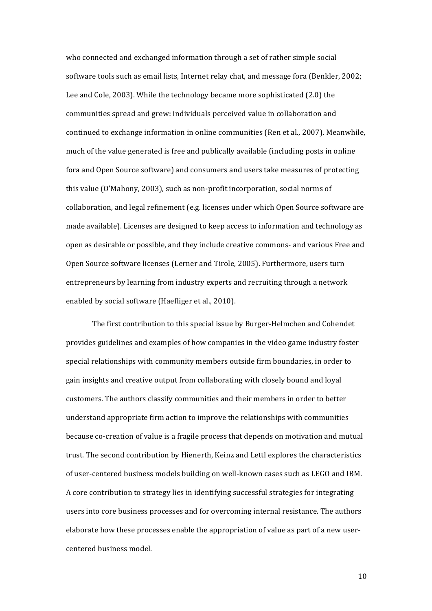who connected and exchanged information through a set of rather simple social software tools such as email lists, Internet relay chat, and message fora (Benkler, 2002; Lee and Cole, 2003). While the technology became more sophisticated (2.0) the communities spread and grew: individuals perceived value in collaboration and continued to exchange information in online communities (Ren et al., 2007). Meanwhile, much of the value generated is free and publically available (including posts in online fora and Open Source software) and consumers and users take measures of protecting this value (O'Mahony, 2003), such as non-profit incorporation, social norms of collaboration, and legal refinement (e.g. licenses under which Open Source software are made available). Licenses are designed to keep access to information and technology as open as desirable or possible, and they include creative commons- and various Free and Open Source software licenses (Lerner and Tirole, 2005). Furthermore, users turn entrepreneurs by learning from industry experts and recruiting through a network enabled by social software (Haefliger et al., 2010).

The first contribution to this special issue by Burger-Helmchen and Cohendet provides guidelines and examples of how companies in the video game industry foster special relationships with community members outside firm boundaries, in order to gain insights and creative output from collaborating with closely bound and loyal customers. The authors classify communities and their members in order to better understand appropriate firm action to improve the relationships with communities because co-creation of value is a fragile process that depends on motivation and mutual trust. The second contribution by Hienerth, Keinz and Lettl explores the characteristics of user-centered business models building on well-known cases such as LEGO and IBM. A core contribution to strategy lies in identifying successful strategies for integrating users into core business processes and for overcoming internal resistance. The authors elaborate how these processes enable the appropriation of value as part of a new usercentered business model.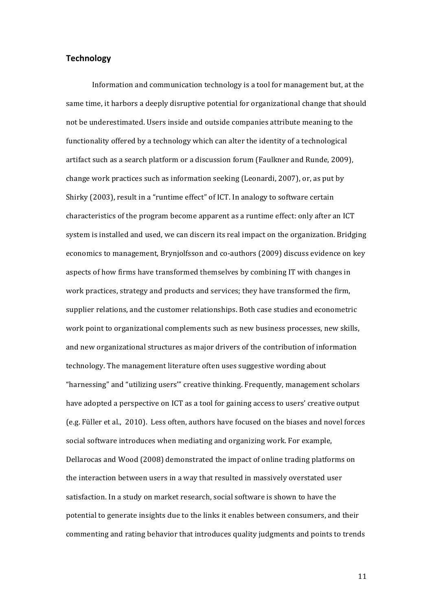## **Technology**

Information and communication technology is a tool for management but, at the same time, it harbors a deeply disruptive potential for organizational change that should not be underestimated. Users inside and outside companies attribute meaning to the functionality offered by a technology which can alter the identity of a technological artifact such as a search platform or a discussion forum (Faulkner and Runde, 2009), change work practices such as information seeking (Leonardi, 2007), or, as put by Shirky (2003), result in a "runtime effect" of ICT. In analogy to software certain characteristics of the program become apparent as a runtime effect: only after an ICT system is installed and used, we can discern its real impact on the organization. Bridging economics to management, Brynjolfsson and co-authors (2009) discuss evidence on key aspects of how firms have transformed themselves by combining IT with changes in work practices, strategy and products and services; they have transformed the firm, supplier relations, and the customer relationships. Both case studies and econometric work point to organizational complements such as new business processes, new skills, and new organizational structures as major drivers of the contribution of information technology. The management literature often uses suggestive wording about "harnessing" and "utilizing users'" creative thinking. Frequently, management scholars have adopted a perspective on ICT as a tool for gaining access to users' creative output (e.g. Füller et al., 2010). Less often, authors have focused on the biases and novel forces social software introduces when mediating and organizing work. For example, Dellarocas and Wood (2008) demonstrated the impact of online trading platforms on the interaction between users in a way that resulted in massively overstated user satisfaction. In a study on market research, social software is shown to have the potential to generate insights due to the links it enables between consumers, and their commenting and rating behavior that introduces quality judgments and points to trends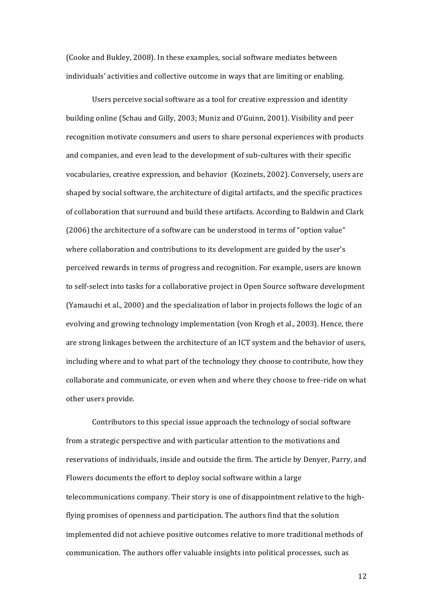(Cooke and Bukley, 2008). In these examples, social software mediates between individuals' activities and collective outcome in ways that are limiting or enabling.

Users perceive social software as a tool for creative expression and identity building online (Schau and Gilly, 2003; Muniz and O'Guinn, 2001). Visibility and peer recognition motivate consumers and users to share personal experiences with products and companies, and even lead to the development of sub-cultures with their specific vocabularies, creative expression, and behavior (Kozinets, 2002). Conversely, users are shaped by social software, the architecture of digital artifacts, and the specific practices of collaboration that surround and build these artifacts. According to Baldwin and Clark  $(2006)$  the architecture of a software can be understood in terms of "option value" where collaboration and contributions to its development are guided by the user's perceived rewards in terms of progress and recognition. For example, users are known to self-select into tasks for a collaborative project in Open Source software development (Yamauchi et al., 2000) and the specialization of labor in projects follows the logic of an evolving and growing technology implementation (von Krogh et al., 2003). Hence, there are strong linkages between the architecture of an ICT system and the behavior of users, including where and to what part of the technology they choose to contribute, how they collaborate and communicate, or even when and where they choose to free-ride on what other users provide.

Contributors to this special issue approach the technology of social software from a strategic perspective and with particular attention to the motivations and reservations of individuals, inside and outside the firm. The article by Denyer, Parry, and Flowers documents the effort to deploy social software within a large telecommunications company. Their story is one of disappointment relative to the highflying promises of openness and participation. The authors find that the solution implemented did not achieve positive outcomes relative to more traditional methods of communication. The authors offer valuable insights into political processes, such as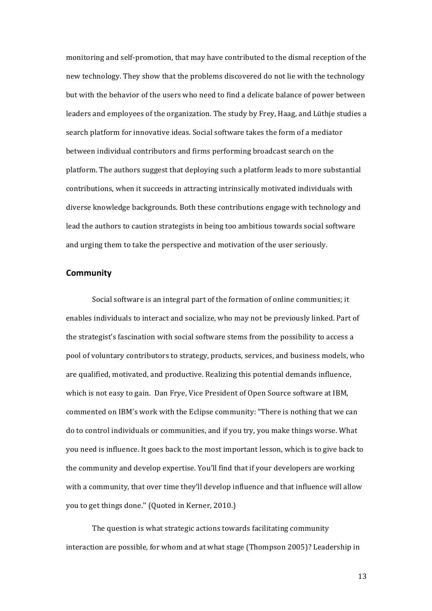monitoring and self-promotion, that may have contributed to the dismal reception of the new technology. They show that the problems discovered do not lie with the technology but with the behavior of the users who need to find a delicate balance of power between leaders and employees of the organization. The study by Frey, Haag, and Lüthje studies a search platform for innovative ideas. Social software takes the form of a mediator between individual contributors and firms performing broadcast search on the platform. The authors suggest that deploying such a platform leads to more substantial contributions, when it succeeds in attracting intrinsically motivated individuals with diverse knowledge backgrounds. Both these contributions engage with technology and lead the authors to caution strategists in being too ambitious towards social software and urging them to take the perspective and motivation of the user seriously.

#### **Community**

Social software is an integral part of the formation of online communities; it enables individuals to interact and socialize, who may not be previously linked. Part of the strategist's fascination with social software stems from the possibility to access a pool of voluntary contributors to strategy, products, services, and business models, who are qualified, motivated, and productive. Realizing this potential demands influence, which is not easy to gain. Dan Frye, Vice President of Open Source software at IBM, commented on IBM's work with the Eclipse community: "There is nothing that we can do to control individuals or communities, and if you try, you make things worse. What you need is influence. It goes back to the most important lesson, which is to give back to the community and develop expertise. You'll find that if your developers are working with a community, that over time they'll develop influence and that influence will allow you to get things done." (Quoted in Kerner, 2010.)

The question is what strategic actions towards facilitating community interaction are possible, for whom and at what stage (Thompson 2005)? Leadership in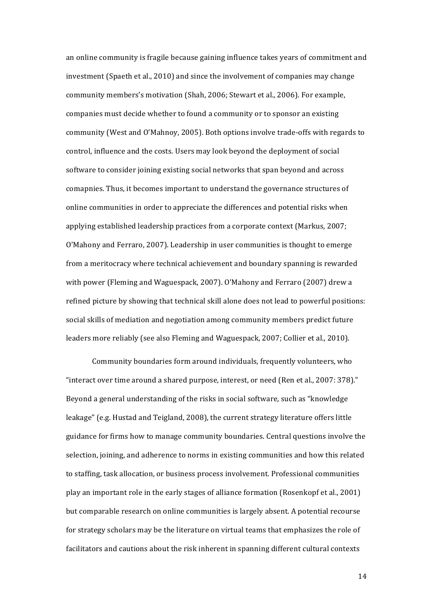an online community is fragile because gaining influence takes years of commitment and investment  $(Spaeth et al., 2010)$  and since the involvement of companies may change community members's motivation (Shah, 2006; Stewart et al., 2006). For example, companies must decide whether to found a community or to sponsor an existing community (West and O'Mahnoy, 2005). Both options involve trade-offs with regards to control, influence and the costs. Users may look beyond the deployment of social software to consider joining existing social networks that span beyond and across comapnies. Thus, it becomes important to understand the governance structures of online communities in order to appreciate the differences and potential risks when applying established leadership practices from a corporate context (Markus, 2007; O'Mahony and Ferraro, 2007). Leadership in user communities is thought to emerge from a meritocracy where technical achievement and boundary spanning is rewarded with power (Fleming and Waguespack, 2007). O'Mahony and Ferraro (2007) drew a refined picture by showing that technical skill alone does not lead to powerful positions: social skills of mediation and negotiation among community members predict future leaders more reliably (see also Fleming and Waguespack, 2007; Collier et al., 2010).

Community boundaries form around individuals, frequently volunteers, who "interact over time around a shared purpose, interest, or need (Ren et al., 2007: 378)." Beyond a general understanding of the risks in social software, such as "knowledge" leakage" (e.g. Hustad and Teigland, 2008), the current strategy literature offers little guidance for firms how to manage community boundaries. Central questions involve the selection, joining, and adherence to norms in existing communities and how this related to staffing, task allocation, or business process involvement. Professional communities play an important role in the early stages of alliance formation (Rosenkopf et al., 2001) but comparable research on online communities is largely absent. A potential recourse for strategy scholars may be the literature on virtual teams that emphasizes the role of facilitators and cautions about the risk inherent in spanning different cultural contexts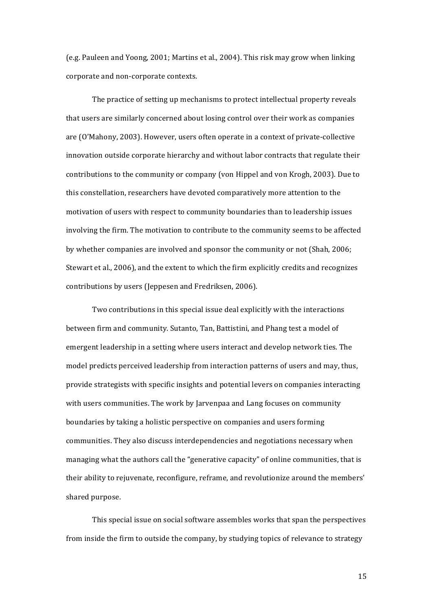(e.g. Pauleen and Yoong, 2001; Martins et al., 2004). This risk may grow when linking corporate and non-corporate contexts.

The practice of setting up mechanisms to protect intellectual property reveals that users are similarly concerned about losing control over their work as companies are  $(0'$ Mahony, 2003). However, users often operate in a context of private-collective innovation outside corporate hierarchy and without labor contracts that regulate their contributions to the community or company (von Hippel and von Krogh, 2003). Due to this constellation, researchers have devoted comparatively more attention to the motivation of users with respect to community boundaries than to leadership issues involving the firm. The motivation to contribute to the community seems to be affected by whether companies are involved and sponsor the community or not (Shah, 2006; Stewart et al., 2006), and the extent to which the firm explicitly credits and recognizes contributions by users (Jeppesen and Fredriksen, 2006).

Two contributions in this special issue deal explicitly with the interactions between firm and community. Sutanto, Tan, Battistini, and Phang test a model of emergent leadership in a setting where users interact and develop network ties. The model predicts perceived leadership from interaction patterns of users and may, thus, provide strategists with specific insights and potential levers on companies interacting with users communities. The work by Jarvenpaa and Lang focuses on community boundaries by taking a holistic perspective on companies and users forming communities. They also discuss interdependencies and negotiations necessary when managing what the authors call the "generative capacity" of online communities, that is their ability to rejuvenate, reconfigure, reframe, and revolutionize around the members' shared purpose.

This special issue on social software assembles works that span the perspectives from inside the firm to outside the company, by studying topics of relevance to strategy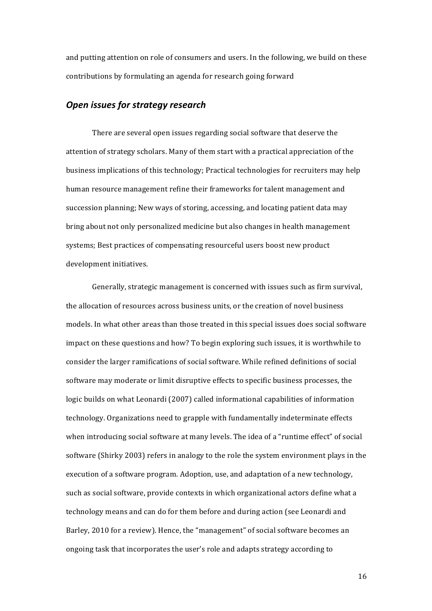and putting attention on role of consumers and users. In the following, we build on these contributions by formulating an agenda for research going forward

# *Open issues for strategy research*

There are several open issues regarding social software that deserve the attention of strategy scholars. Many of them start with a practical appreciation of the business implications of this technology; Practical technologies for recruiters may help human resource management refine their frameworks for talent management and succession planning; New ways of storing, accessing, and locating patient data may bring about not only personalized medicine but also changes in health management systems; Best practices of compensating resourceful users boost new product development initiatives.

Generally, strategic management is concerned with issues such as firm survival, the allocation of resources across business units, or the creation of novel business models. In what other areas than those treated in this special issues does social software impact on these questions and how? To begin exploring such issues, it is worthwhile to consider the larger ramifications of social software. While refined definitions of social software may moderate or limit disruptive effects to specific business processes, the logic builds on what Leonardi (2007) called informational capabilities of information technology. Organizations need to grapple with fundamentally indeterminate effects when introducing social software at many levels. The idea of a "runtime effect" of social software (Shirky 2003) refers in analogy to the role the system environment plays in the execution of a software program. Adoption, use, and adaptation of a new technology, such as social software, provide contexts in which organizational actors define what a technology means and can do for them before and during action (see Leonardi and Barley, 2010 for a review). Hence, the "management" of social software becomes an ongoing task that incorporates the user's role and adapts strategy according to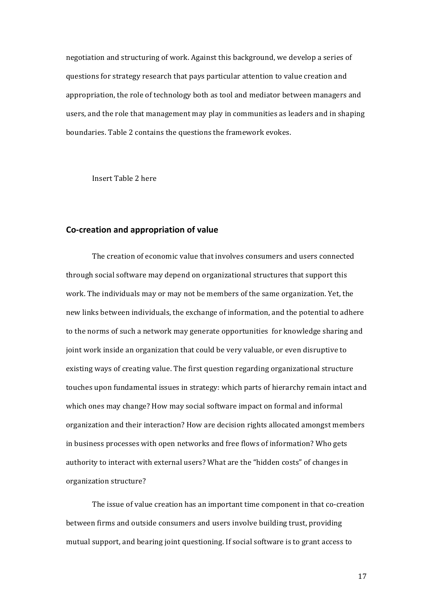negotiation and structuring of work. Against this background, we develop a series of questions for strategy research that pays particular attention to value creation and appropriation, the role of technology both as tool and mediator between managers and users, and the role that management may play in communities as leaders and in shaping boundaries. Table 2 contains the questions the framework evokes.

Insert Table 2 here

## **Co-creation and appropriation of value**

The creation of economic value that involves consumers and users connected through social software may depend on organizational structures that support this work. The individuals may or may not be members of the same organization. Yet, the new links between individuals, the exchange of information, and the potential to adhere to the norms of such a network may generate opportunities for knowledge sharing and joint work inside an organization that could be very valuable, or even disruptive to existing ways of creating value. The first question regarding organizational structure touches upon fundamental issues in strategy: which parts of hierarchy remain intact and which ones may change? How may social software impact on formal and informal organization and their interaction? How are decision rights allocated amongst members in business processes with open networks and free flows of information? Who gets authority to interact with external users? What are the "hidden costs" of changes in organization structure?

The issue of value creation has an important time component in that co-creation between firms and outside consumers and users involve building trust, providing mutual support, and bearing joint questioning. If social software is to grant access to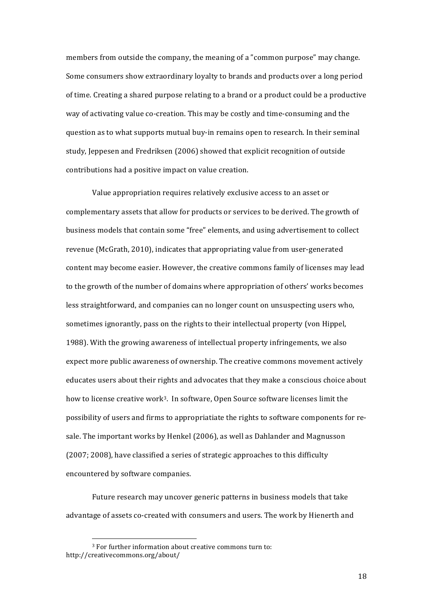members from outside the company, the meaning of a "common purpose" may change. Some consumers show extraordinary loyalty to brands and products over a long period of time. Creating a shared purpose relating to a brand or a product could be a productive way of activating value co-creation. This may be costly and time-consuming and the question as to what supports mutual buy-in remains open to research. In their seminal study, Jeppesen and Fredriksen (2006) showed that explicit recognition of outside contributions had a positive impact on value creation.

Value appropriation requires relatively exclusive access to an asset or complementary assets that allow for products or services to be derived. The growth of business models that contain some "free" elements, and using advertisement to collect revenue (McGrath, 2010), indicates that appropriating value from user-generated content may become easier. However, the creative commons family of licenses may lead to the growth of the number of domains where appropriation of others' works becomes less straightforward, and companies can no longer count on unsuspecting users who, sometimes ignorantly, pass on the rights to their intellectual property (von Hippel, 1988). With the growing awareness of intellectual property infringements, we also expect more public awareness of ownership. The creative commons movement actively educates users about their rights and advocates that they make a conscious choice about how to license creative work<sup>3</sup>. In software, Open Source software licenses limit the possibility of users and firms to appropriatiate the rights to software components for resale. The important works by Henkel (2006), as well as Dahlander and Magnusson (2007; 2008), have classified a series of strategic approaches to this difficulty encountered by software companies.

Future research may uncover generic patterns in business models that take advantage of assets co-created with consumers and users. The work by Hienerth and

<sup>&</sup>lt;sup>3</sup> For further information about creative commons turn to: http://creativecommons.org/about/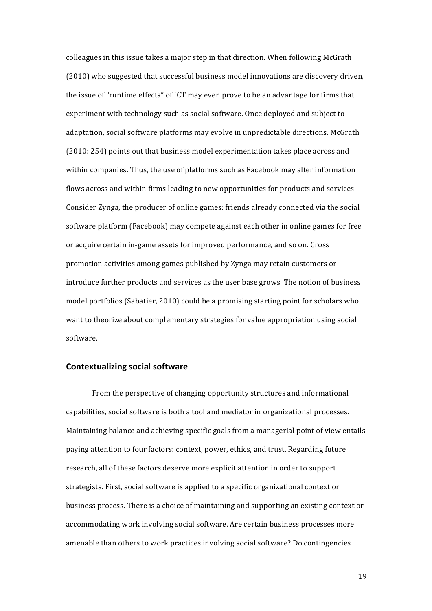colleagues in this issue takes a major step in that direction. When following McGrath  $(2010)$  who suggested that successful business model innovations are discovery driven, the issue of "runtime effects" of ICT may even prove to be an advantage for firms that experiment with technology such as social software. Once deployed and subject to adaptation, social software platforms may evolve in unpredictable directions. McGrath  $(2010: 254)$  points out that business model experimentation takes place across and within companies. Thus, the use of platforms such as Facebook may alter information flows across and within firms leading to new opportunities for products and services. Consider Zynga, the producer of online games: friends already connected via the social software platform (Facebook) may compete against each other in online games for free or acquire certain in-game assets for improved performance, and so on. Cross promotion activities among games published by Zynga may retain customers or introduce further products and services as the user base grows. The notion of business model portfolios (Sabatier, 2010) could be a promising starting point for scholars who want to theorize about complementary strategies for value appropriation using social software.

#### **Contextualizing social software**

From the perspective of changing opportunity structures and informational capabilities, social software is both a tool and mediator in organizational processes. Maintaining balance and achieving specific goals from a managerial point of view entails paying attention to four factors: context, power, ethics, and trust. Regarding future research, all of these factors deserve more explicit attention in order to support strategists. First, social software is applied to a specific organizational context or business process. There is a choice of maintaining and supporting an existing context or accommodating work involving social software. Are certain business processes more amenable than others to work practices involving social software? Do contingencies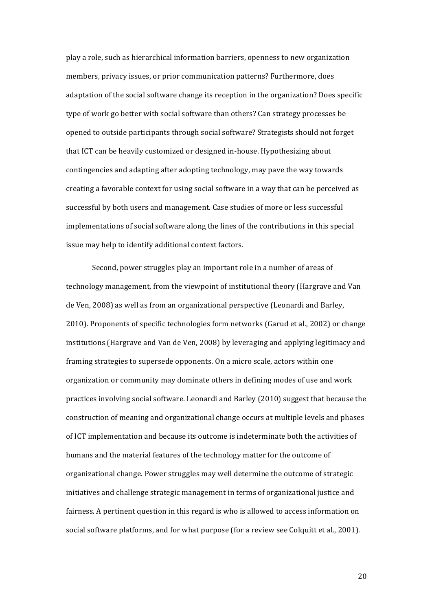play a role, such as hierarchical information barriers, openness to new organization members, privacy issues, or prior communication patterns? Furthermore, does adaptation of the social software change its reception in the organization? Does specific type of work go better with social software than others? Can strategy processes be opened to outside participants through social software? Strategists should not forget that ICT can be heavily customized or designed in-house. Hypothesizing about contingencies and adapting after adopting technology, may pave the way towards creating a favorable context for using social software in a way that can be perceived as successful by both users and management. Case studies of more or less successful implementations of social software along the lines of the contributions in this special issue may help to identify additional context factors.

Second, power struggles play an important role in a number of areas of technology management, from the viewpoint of institutional theory (Hargrave and Van de Ven, 2008) as well as from an organizational perspective (Leonardi and Barley, 2010). Proponents of specific technologies form networks (Garud et al., 2002) or change institutions (Hargrave and Van de Ven, 2008) by leveraging and applying legitimacy and framing strategies to supersede opponents. On a micro scale, actors within one organization or community may dominate others in defining modes of use and work practices involving social software. Leonardi and Barley (2010) suggest that because the construction of meaning and organizational change occurs at multiple levels and phases of ICT implementation and because its outcome is indeterminate both the activities of humans and the material features of the technology matter for the outcome of organizational change. Power struggles may well determine the outcome of strategic initiatives and challenge strategic management in terms of organizational justice and fairness. A pertinent question in this regard is who is allowed to access information on social software platforms, and for what purpose (for a review see Colquitt et al., 2001).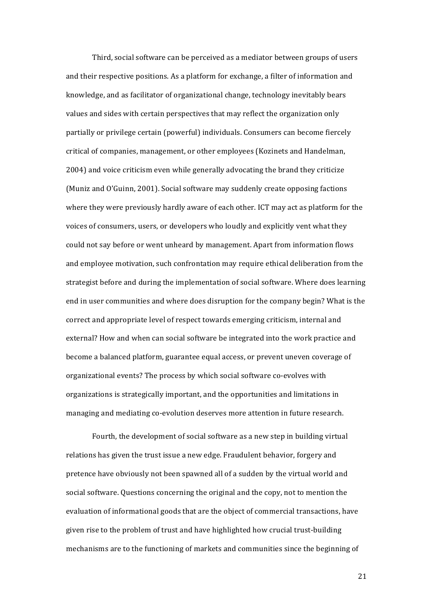Third, social software can be perceived as a mediator between groups of users and their respective positions. As a platform for exchange, a filter of information and knowledge, and as facilitator of organizational change, technology inevitably bears values and sides with certain perspectives that may reflect the organization only partially or privilege certain (powerful) individuals. Consumers can become fiercely critical of companies, management, or other employees (Kozinets and Handelman, 2004) and voice criticism even while generally advocating the brand they criticize (Muniz and O'Guinn, 2001). Social software may suddenly create opposing factions where they were previously hardly aware of each other. ICT may act as platform for the voices of consumers, users, or developers who loudly and explicitly vent what they could not say before or went unheard by management. Apart from information flows and employee motivation, such confrontation may require ethical deliberation from the strategist before and during the implementation of social software. Where does learning end in user communities and where does disruption for the company begin? What is the correct and appropriate level of respect towards emerging criticism, internal and external? How and when can social software be integrated into the work practice and become a balanced platform, guarantee equal access, or prevent uneven coverage of organizational events? The process by which social software co-evolves with organizations is strategically important, and the opportunities and limitations in managing and mediating co-evolution deserves more attention in future research.

Fourth, the development of social software as a new step in building virtual relations has given the trust issue a new edge. Fraudulent behavior, forgery and pretence have obviously not been spawned all of a sudden by the virtual world and social software. Questions concerning the original and the copy, not to mention the evaluation of informational goods that are the object of commercial transactions, have given rise to the problem of trust and have highlighted how crucial trust-building mechanisms are to the functioning of markets and communities since the beginning of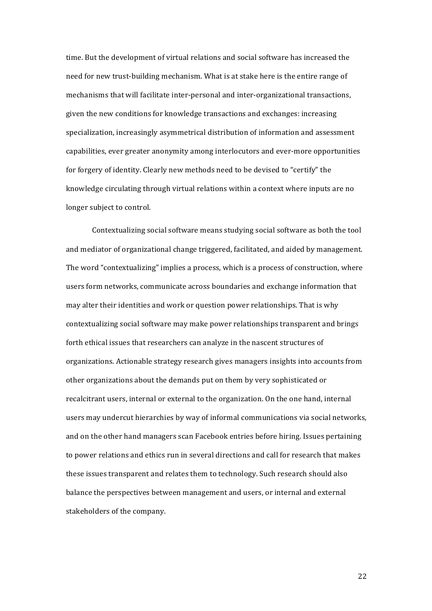time. But the development of virtual relations and social software has increased the need for new trust-building mechanism. What is at stake here is the entire range of mechanisms that will facilitate inter-personal and inter-organizational transactions, given the new conditions for knowledge transactions and exchanges: increasing specialization, increasingly asymmetrical distribution of information and assessment capabilities, ever greater anonymity among interlocutors and ever-more opportunities for forgery of identity. Clearly new methods need to be devised to "certify" the knowledge circulating through virtual relations within a context where inputs are no longer subject to control.

Contextualizing social software means studying social software as both the tool and mediator of organizational change triggered, facilitated, and aided by management. The word "contextualizing" implies a process, which is a process of construction, where users form networks, communicate across boundaries and exchange information that may alter their identities and work or question power relationships. That is why contextualizing social software may make power relationships transparent and brings forth ethical issues that researchers can analyze in the nascent structures of organizations. Actionable strategy research gives managers insights into accounts from other organizations about the demands put on them by very sophisticated or recalcitrant users, internal or external to the organization. On the one hand, internal users may undercut hierarchies by way of informal communications via social networks, and on the other hand managers scan Facebook entries before hiring. Issues pertaining to power relations and ethics run in several directions and call for research that makes these issues transparent and relates them to technology. Such research should also balance the perspectives between management and users, or internal and external stakeholders of the company.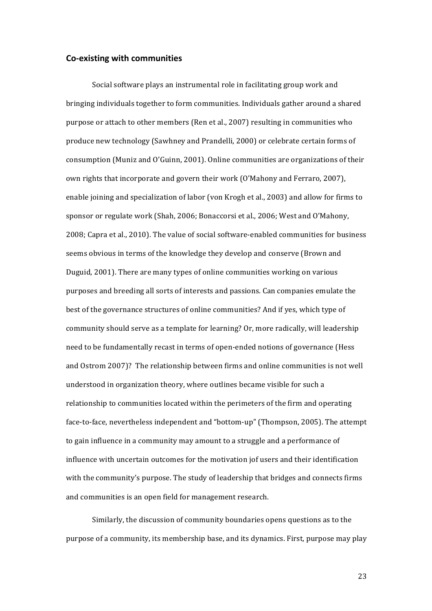#### **Co-existing with communities**

Social software plays an instrumental role in facilitating group work and bringing individuals together to form communities. Individuals gather around a shared purpose or attach to other members (Ren et al., 2007) resulting in communities who produce new technology (Sawhney and Prandelli, 2000) or celebrate certain forms of consumption (Muniz and O'Guinn, 2001). Online communities are organizations of their own rights that incorporate and govern their work (O'Mahony and Ferraro, 2007), enable joining and specialization of labor (von Krogh et al., 2003) and allow for firms to sponsor or regulate work (Shah, 2006; Bonaccorsi et al., 2006; West and O'Mahony, 2008; Capra et al., 2010). The value of social software-enabled communities for business seems obvious in terms of the knowledge they develop and conserve (Brown and Duguid, 2001). There are many types of online communities working on various purposes and breeding all sorts of interests and passions. Can companies emulate the best of the governance structures of online communities? And if yes, which type of community should serve as a template for learning? Or, more radically, will leadership need to be fundamentally recast in terms of open-ended notions of governance (Hess and Ostrom 2007)? The relationship between firms and online communities is not well understood in organization theory, where outlines became visible for such a relationship to communities located within the perimeters of the firm and operating face-to-face, nevertheless independent and "bottom-up" (Thompson, 2005). The attempt to gain influence in a community may amount to a struggle and a performance of influence with uncertain outcomes for the motivation jof users and their identification with the community's purpose. The study of leadership that bridges and connects firms and communities is an open field for management research.

Similarly, the discussion of community boundaries opens questions as to the purpose of a community, its membership base, and its dynamics. First, purpose may play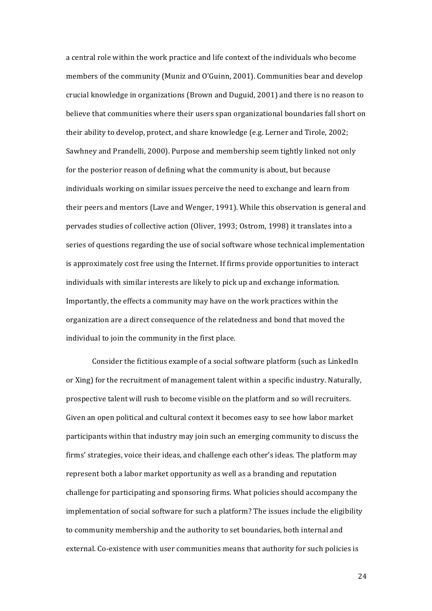a central role within the work practice and life context of the individuals who become members of the community (Muniz and O'Guinn, 2001). Communities bear and develop crucial knowledge in organizations  $(Brown and Duguid, 2001)$  and there is no reason to believe that communities where their users span organizational boundaries fall short on their ability to develop, protect, and share knowledge  $(e.g., Eerner and Tirole, 2002;$ Sawhney and Prandelli, 2000). Purpose and membership seem tightly linked not only for the posterior reason of defining what the community is about, but because individuals working on similar issues perceive the need to exchange and learn from their peers and mentors (Lave and Wenger, 1991). While this observation is general and pervades studies of collective action (Oliver, 1993; Ostrom, 1998) it translates into a series of questions regarding the use of social software whose technical implementation is approximately cost free using the Internet. If firms provide opportunities to interact individuals with similar interests are likely to pick up and exchange information. Importantly, the effects a community may have on the work practices within the organization are a direct consequence of the relatedness and bond that moved the individual to join the community in the first place.

Consider the fictitious example of a social software platform (such as LinkedIn or Xing) for the recruitment of management talent within a specific industry. Naturally, prospective talent will rush to become visible on the platform and so will recruiters. Given an open political and cultural context it becomes easy to see how labor market participants within that industry may join such an emerging community to discuss the firms' strategies, voice their ideas, and challenge each other's ideas. The platform may represent both a labor market opportunity as well as a branding and reputation challenge for participating and sponsoring firms. What policies should accompany the implementation of social software for such a platform? The issues include the eligibility to community membership and the authority to set boundaries, both internal and external. Co-existence with user communities means that authority for such policies is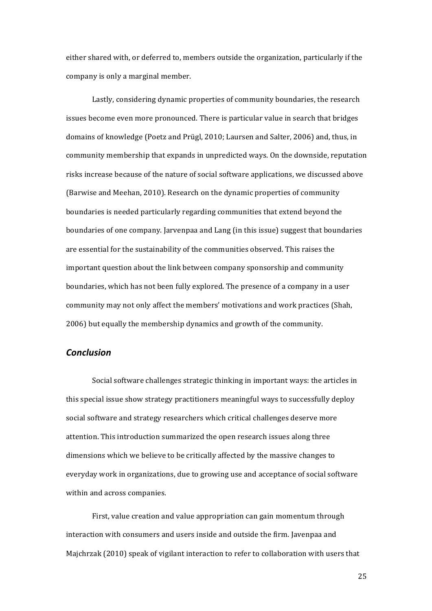either shared with, or deferred to, members outside the organization, particularly if the company is only a marginal member.

Lastly, considering dynamic properties of community boundaries, the research issues become even more pronounced. There is particular value in search that bridges domains of knowledge (Poetz and Prügl, 2010; Laursen and Salter, 2006) and, thus, in community membership that expands in unpredicted ways. On the downside, reputation risks increase because of the nature of social software applications, we discussed above (Barwise and Meehan, 2010). Research on the dynamic properties of community boundaries is needed particularly regarding communities that extend beyond the boundaries of one company. Jarvenpaa and Lang (in this issue) suggest that boundaries are essential for the sustainability of the communities observed. This raises the important question about the link between company sponsorship and community boundaries, which has not been fully explored. The presence of a company in a user community may not only affect the members' motivations and work practices (Shah, 2006) but equally the membership dynamics and growth of the community.

## *Conclusion*

Social software challenges strategic thinking in important ways: the articles in this special issue show strategy practitioners meaningful ways to successfully deploy social software and strategy researchers which critical challenges deserve more attention. This introduction summarized the open research issues along three dimensions which we believe to be critically affected by the massive changes to everyday work in organizations, due to growing use and acceptance of social software within and across companies.

First, value creation and value appropriation can gain momentum through interaction with consumers and users inside and outside the firm. Javenpaa and Majchrzak  $(2010)$  speak of vigilant interaction to refer to collaboration with users that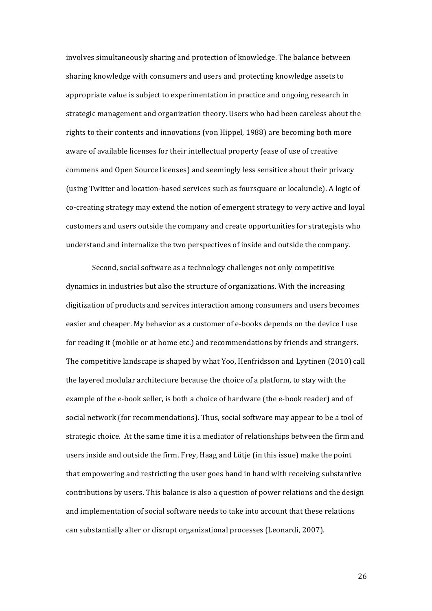involves simultaneously sharing and protection of knowledge. The balance between sharing knowledge with consumers and users and protecting knowledge assets to appropriate value is subject to experimentation in practice and ongoing research in strategic management and organization theory. Users who had been careless about the rights to their contents and innovations (von Hippel, 1988) are becoming both more aware of available licenses for their intellectual property (ease of use of creative commens and Open Source licenses) and seemingly less sensitive about their privacy (using Twitter and location-based services such as foursquare or localuncle). A logic of co-creating strategy may extend the notion of emergent strategy to very active and loyal customers and users outside the company and create opportunities for strategists who understand and internalize the two perspectives of inside and outside the company.

Second, social software as a technology challenges not only competitive dynamics in industries but also the structure of organizations. With the increasing digitization of products and services interaction among consumers and users becomes easier and cheaper. My behavior as a customer of e-books depends on the device I use for reading it (mobile or at home etc.) and recommendations by friends and strangers. The competitive landscape is shaped by what Yoo, Henfridsson and Lyytinen (2010) call the layered modular architecture because the choice of a platform, to stay with the example of the e-book seller, is both a choice of hardware (the e-book reader) and of social network (for recommendations). Thus, social software may appear to be a tool of strategic choice. At the same time it is a mediator of relationships between the firm and users inside and outside the firm. Frey, Haag and Lütje (in this issue) make the point that empowering and restricting the user goes hand in hand with receiving substantive contributions by users. This balance is also a question of power relations and the design and implementation of social software needs to take into account that these relations can substantially alter or disrupt organizational processes (Leonardi, 2007).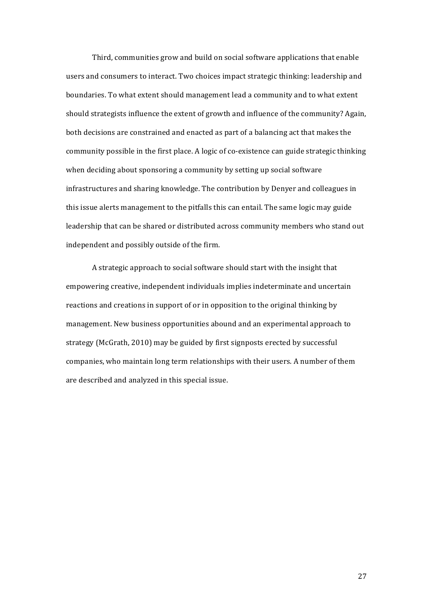Third, communities grow and build on social software applications that enable users and consumers to interact. Two choices impact strategic thinking: leadership and boundaries. To what extent should management lead a community and to what extent should strategists influence the extent of growth and influence of the community? Again, both decisions are constrained and enacted as part of a balancing act that makes the community possible in the first place. A logic of co-existence can guide strategic thinking when deciding about sponsoring a community by setting up social software infrastructures and sharing knowledge. The contribution by Denyer and colleagues in this issue alerts management to the pitfalls this can entail. The same logic may guide leadership that can be shared or distributed across community members who stand out independent and possibly outside of the firm.

A strategic approach to social software should start with the insight that empowering creative, independent individuals implies indeterminate and uncertain reactions and creations in support of or in opposition to the original thinking by management. New business opportunities abound and an experimental approach to strategy (McGrath, 2010) may be guided by first signposts erected by successful companies, who maintain long term relationships with their users. A number of them are described and analyzed in this special issue.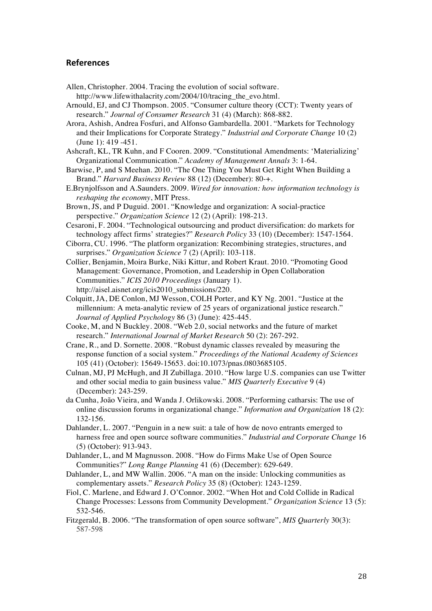## **References**

- Allen, Christopher. 2004. Tracing the evolution of social software. http://www.lifewithalacrity.com/2004/10/tracing the evo.html.
- Arnould, EJ, and CJ Thompson. 2005. "Consumer culture theory (CCT): Twenty years of research." *Journal of Consumer Research* 31 (4) (March): 868-882.
- Arora, Ashish, Andrea Fosfuri, and Alfonso Gambardella. 2001. "Markets for Technology and their Implications for Corporate Strategy." *Industrial and Corporate Change* 10 (2) (June 1): 419 -451.
- Ashcraft, KL, TR Kuhn, and F Cooren. 2009. "Constitutional Amendments: 'Materializing' Organizational Communication." *Academy of Management Annals* 3: 1-64.
- Barwise, P, and S Meehan. 2010. "The One Thing You Must Get Right When Building a Brand." *Harvard Business Review* 88 (12) (December): 80-+.
- E.Brynjolfsson and A.Saunders. 2009. *Wired for innovation: how information technology is reshaping the economy*, MIT Press.
- Brown, JS, and P Duguid. 2001. "Knowledge and organization: A social-practice perspective." *Organization Science* 12 (2) (April): 198-213.
- Cesaroni, F. 2004. "Technological outsourcing and product diversification: do markets for technology affect firms' strategies?" *Research Policy* 33 (10) (December): 1547-1564.
- Ciborra, CU. 1996. "The platform organization: Recombining strategies, structures, and surprises." *Organization Science* 7 (2) (April): 103-118.
- Collier, Benjamin, Moira Burke, Niki Kittur, and Robert Kraut. 2010. "Promoting Good Management: Governance, Promotion, and Leadership in Open Collaboration Communities." *ICIS 2010 Proceedings* (January 1). http://aisel.aisnet.org/icis2010\_submissions/220.
- Colquitt, JA, DE Conlon, MJ Wesson, COLH Porter, and KY Ng. 2001. "Justice at the millennium: A meta-analytic review of 25 years of organizational justice research." *Journal of Applied Psychology* 86 (3) (June): 425-445.
- Cooke, M, and N Buckley. 2008. "Web 2.0, social networks and the future of market research." *International Journal of Market Research* 50 (2): 267-292.
- Crane, R., and D. Sornette. 2008. "Robust dynamic classes revealed by measuring the response function of a social system." *Proceedings of the National Academy of Sciences* 105 (41) (October): 15649-15653. doi:10.1073/pnas.0803685105.
- Culnan, MJ, PJ McHugh, and JI Zubillaga. 2010. "How large U.S. companies can use Twitter and other social media to gain business value." *MIS Quarterly Executive* 9 (4) (December): 243-259.
- da Cunha, João Vieira, and Wanda J. Orlikowski. 2008. "Performing catharsis: The use of online discussion forums in organizational change." *Information and Organization* 18 (2): 132-156.
- Dahlander, L. 2007. "Penguin in a new suit: a tale of how de novo entrants emerged to harness free and open source software communities." *Industrial and Corporate Change* 16 (5) (October): 913-943.
- Dahlander, L, and M Magnusson. 2008. "How do Firms Make Use of Open Source Communities?" *Long Range Planning* 41 (6) (December): 629-649.
- Dahlander, L, and MW Wallin. 2006. "A man on the inside: Unlocking communities as complementary assets." *Research Policy* 35 (8) (October): 1243-1259.
- Fiol, C. Marlene, and Edward J. O'Connor. 2002. "When Hot and Cold Collide in Radical Change Processes: Lessons from Community Development." *Organization Science* 13 (5): 532-546.
- Fitzgerald, B. 2006. "The transformation of open source software", *MIS Quarterly* 30(3): 587-598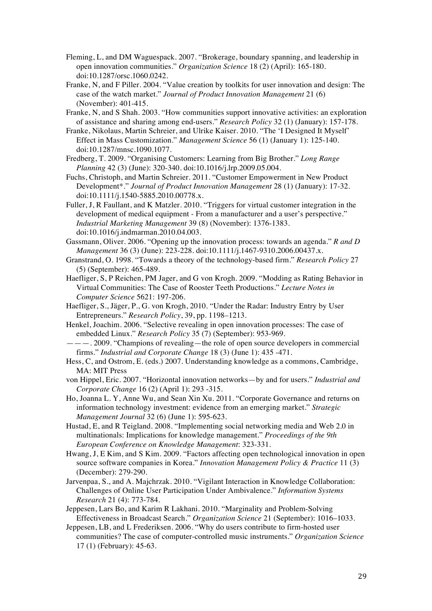- Fleming, L, and DM Waguespack. 2007. "Brokerage, boundary spanning, and leadership in open innovation communities." *Organization Science* 18 (2) (April): 165-180. doi:10.1287/orsc.1060.0242.
- Franke, N, and F Piller. 2004. "Value creation by toolkits for user innovation and design: The case of the watch market." *Journal of Product Innovation Management* 21 (6) (November): 401-415.
- Franke, N, and S Shah. 2003. "How communities support innovative activities: an exploration of assistance and sharing among end-users." *Research Policy* 32 (1) (January): 157-178.
- Franke, Nikolaus, Martin Schreier, and Ulrike Kaiser. 2010. "The 'I Designed It Myself' Effect in Mass Customization." *Management Science* 56 (1) (January 1): 125-140. doi:10.1287/mnsc.1090.1077.
- Fredberg, T. 2009. "Organising Customers: Learning from Big Brother." *Long Range Planning* 42 (3) (June): 320-340. doi:10.1016/j.lrp.2009.05.004.
- Fuchs, Christoph, and Martin Schreier. 2011. "Customer Empowerment in New Product Development\*." *Journal of Product Innovation Management* 28 (1) (January): 17-32. doi:10.1111/j.1540-5885.2010.00778.x.
- Fuller, J, R Faullant, and K Matzler. 2010. "Triggers for virtual customer integration in the development of medical equipment - From a manufacturer and a user's perspective." *Industrial Marketing Management* 39 (8) (November): 1376-1383. doi:10.1016/j.indmarman.2010.04.003.
- Gassmann, Oliver. 2006. "Opening up the innovation process: towards an agenda." *R and D Management* 36 (3) (June): 223-228. doi:10.1111/j.1467-9310.2006.00437.x.
- Granstrand, O. 1998. "Towards a theory of the technology-based firm." *Research Policy* 27 (5) (September): 465-489.
- Haefliger, S, P Reichen, PM Jager, and G von Krogh. 2009. "Modding as Rating Behavior in Virtual Communities: The Case of Rooster Teeth Productions." *Lecture Notes in Computer Science* 5621: 197-206.
- Haefliger, S., Jäger, P., G. von Krogh, 2010. "Under the Radar: Industry Entry by User Entrepreneurs." *Research Policy*, 39, pp. 1198–1213.
- Henkel, Joachim. 2006. "Selective revealing in open innovation processes: The case of embedded Linux." *Research Policy* 35 (7) (September): 953-969.
- ———. 2009. "Champions of revealing—the role of open source developers in commercial firms." *Industrial and Corporate Change* 18 (3) (June 1): 435 -471.
- Hess, C, and Ostrom, E. (eds.) 2007. Understanding knowledge as a commons, Cambridge, MA: MIT Press
- von Hippel, Eric. 2007. "Horizontal innovation networks—by and for users." *Industrial and Corporate Change* 16 (2) (April 1): 293 -315.
- Ho, Joanna L. Y, Anne Wu, and Sean Xin Xu. 2011. "Corporate Governance and returns on information technology investment: evidence from an emerging market." *Strategic Management Journal* 32 (6) (June 1): 595-623.
- Hustad, E, and R Teigland. 2008. "Implementing social networking media and Web 2.0 in multinationals: Implications for knowledge management." *Proceedings of the 9th European Conference on Knowledge Management*: 323-331.
- Hwang, J, E Kim, and S Kim. 2009. "Factors affecting open technological innovation in open source software companies in Korea." *Innovation Management Policy & Practice* 11 (3) (December): 279-290.
- Jarvenpaa, S., and A. Majchrzak. 2010. "Vigilant Interaction in Knowledge Collaboration: Challenges of Online User Participation Under Ambivalence." *Information Systems Research* 21 (4): 773-784.
- Jeppesen, Lars Bo, and Karim R Lakhani. 2010. "Marginality and Problem-Solving Effectiveness in Broadcast Search." *Organization Science* 21 (September): 1016–1033.
- Jeppesen, LB, and L Frederiksen. 2006. "Why do users contribute to firm-hosted user communities? The case of computer-controlled music instruments." *Organization Science* 17 (1) (February): 45-63.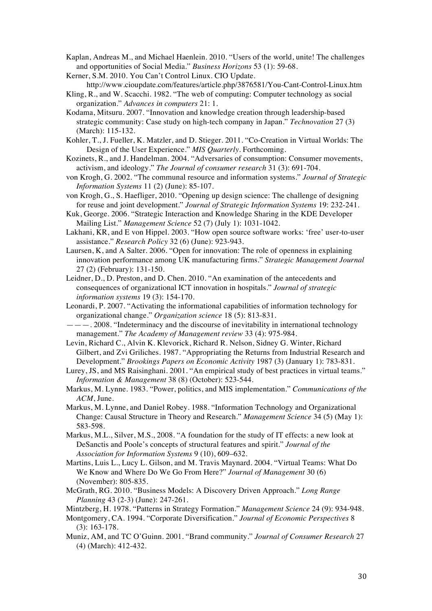- Kaplan, Andreas M., and Michael Haenlein. 2010. "Users of the world, unite! The challenges and opportunities of Social Media." *Business Horizons* 53 (1): 59-68.
- Kerner, S.M. 2010. You Can't Control Linux. CIO Update. http://www.cioupdate.com/features/article.php/3876581/You-Cant-Control-Linux.htm
- Kling, R., and W. Scacchi. 1982. "The web of computing: Computer technology as social organization." *Advances in computers* 21: 1.
- Kodama, Mitsuru. 2007. "Innovation and knowledge creation through leadership-based strategic community: Case study on high-tech company in Japan." *Technovation* 27 (3) (March): 115-132.
- Kohler, T., J. Fueller, K. Matzler, and D. Stieger. 2011. "Co-Creation in Virtual Worlds: The Design of the User Experience." *MIS Quarterly*. Forthcoming.
- Kozinets, R., and J. Handelman. 2004. "Adversaries of consumption: Consumer movements, activism, and ideology." *The Journal of consumer research* 31 (3): 691-704.
- von Krogh, G. 2002. "The communal resource and information systems." *Journal of Strategic Information Systems* 11 (2) (June): 85-107.
- von Krogh, G., S. Haefliger, 2010. "Opening up design science: The challenge of designing for reuse and joint development." *Journal of Strategic Information Systems* 19: 232-241.
- Kuk, George. 2006. "Strategic Interaction and Knowledge Sharing in the KDE Developer Mailing List." *Management Science* 52 (7) (July 1): 1031-1042.
- Lakhani, KR, and E von Hippel. 2003. "How open source software works: 'free' user-to-user assistance." *Research Policy* 32 (6) (June): 923-943.
- Laursen, K, and A Salter. 2006. "Open for innovation: The role of openness in explaining innovation performance among UK manufacturing firms." *Strategic Management Journal* 27 (2) (February): 131-150.
- Leidner, D., D. Preston, and D. Chen. 2010. "An examination of the antecedents and consequences of organizational ICT innovation in hospitals." *Journal of strategic information systems* 19 (3): 154-170.
- Leonardi, P. 2007. "Activating the informational capabilities of information technology for organizational change." *Organization science* 18 (5): 813-831.
- ———. 2008. "Indeterminacy and the discourse of inevitability in international technology management." *The Academy of Management review* 33 (4): 975-984.
- Levin, Richard C., Alvin K. Klevorick, Richard R. Nelson, Sidney G. Winter, Richard Gilbert, and Zvi Griliches. 1987. "Appropriating the Returns from Industrial Research and Development." *Brookings Papers on Economic Activity* 1987 (3) (January 1): 783-831.
- Lurey, JS, and MS Raisinghani. 2001. "An empirical study of best practices in virtual teams." *Information & Management* 38 (8) (October): 523-544.
- Markus, M. Lynne. 1983. "Power, politics, and MIS implementation." *Communications of the ACM*, June.
- Markus, M. Lynne, and Daniel Robey. 1988. "Information Technology and Organizational Change: Causal Structure in Theory and Research." *Management Science* 34 (5) (May 1): 583-598.
- Markus, M.L., Silver, M.S., 2008. "A foundation for the study of IT effects: a new look at DeSanctis and Poole's concepts of structural features and spirit." *Journal of the Association for Information Systems* 9 (10), 609–632.
- Martins, Luis L., Lucy L. Gilson, and M. Travis Maynard. 2004. "Virtual Teams: What Do We Know and Where Do We Go From Here?" *Journal of Management* 30 (6) (November): 805-835.
- McGrath, RG. 2010. "Business Models: A Discovery Driven Approach." *Long Range Planning* 43 (2-3) (June): 247-261.
- Mintzberg, H. 1978. "Patterns in Strategy Formation." *Management Science* 24 (9): 934-948.
- Montgomery, CA. 1994. "Corporate Diversification." *Journal of Economic Perspectives* 8 (3): 163-178.
- Muniz, AM, and TC O'Guinn. 2001. "Brand community." *Journal of Consumer Research* 27 (4) (March): 412-432.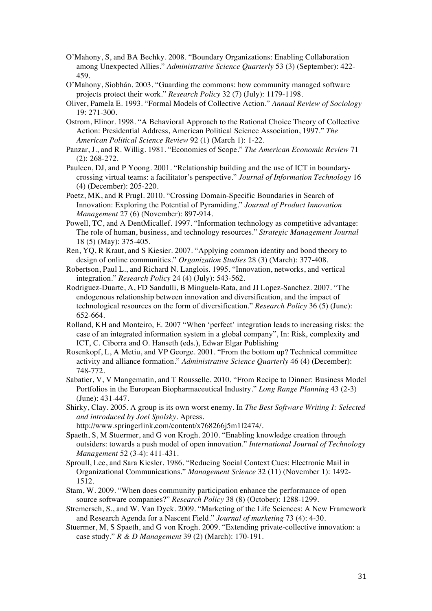- O'Mahony, S, and BA Bechky. 2008. "Boundary Organizations: Enabling Collaboration among Unexpected Allies." *Administrative Science Quarterly* 53 (3) (September): 422- 459.
- O'Mahony, Siobhán. 2003. "Guarding the commons: how community managed software projects protect their work." *Research Policy* 32 (7) (July): 1179-1198.
- Oliver, Pamela E. 1993. "Formal Models of Collective Action." *Annual Review of Sociology* 19: 271-300.
- Ostrom, Elinor. 1998. "A Behavioral Approach to the Rational Choice Theory of Collective Action: Presidential Address, American Political Science Association, 1997." *The American Political Science Review* 92 (1) (March 1): 1-22.
- Panzar, J., and R. Willig. 1981. "Economies of Scope." *The American Economic Review* 71 (2): 268-272.
- Pauleen, DJ, and P Yoong. 2001. "Relationship building and the use of ICT in boundarycrossing virtual teams: a facilitator's perspective." *Journal of Information Technology* 16 (4) (December): 205-220.
- Poetz, MK, and R Prugl. 2010. "Crossing Domain-Specific Boundaries in Search of Innovation: Exploring the Potential of Pyramiding." *Journal of Product Innovation Management* 27 (6) (November): 897-914.
- Powell, TC, and A DentMicallef. 1997. "Information technology as competitive advantage: The role of human, business, and technology resources." *Strategic Management Journal* 18 (5) (May): 375-405.
- Ren, YQ, R Kraut, and S Kiesier. 2007. "Applying common identity and bond theory to design of online communities." *Organization Studies* 28 (3) (March): 377-408.
- Robertson, Paul L., and Richard N. Langlois. 1995. "Innovation, networks, and vertical integration." *Research Policy* 24 (4) (July): 543-562.
- Rodriguez-Duarte, A, FD Sandulli, B Minguela-Rata, and JI Lopez-Sanchez. 2007. "The endogenous relationship between innovation and diversification, and the impact of technological resources on the form of diversification." *Research Policy* 36 (5) (June): 652-664.
- Rolland, KH and Monteiro, E. 2007 "When 'perfect' integration leads to increasing risks: the case of an integrated information system in a global company", In: Risk, complexity and ICT, C. Ciborra and O. Hanseth (eds.), Edwar Elgar Publishing
- Rosenkopf, L, A Metiu, and VP George. 2001. "From the bottom up? Technical committee activity and alliance formation." *Administrative Science Quarterly* 46 (4) (December): 748-772.
- Sabatier, V, V Mangematin, and T Rousselle. 2010. "From Recipe to Dinner: Business Model Portfolios in the European Biopharmaceutical Industry." *Long Range Planning* 43 (2-3) (June): 431-447.
- Shirky, Clay. 2005. A group is its own worst enemy. In *The Best Software Writing I: Selected and introduced by Joel Spolsky*. Apress.
	- http://www.springerlink.com/content/x768266j5m1l2474/.
- Spaeth, S, M Stuermer, and G von Krogh. 2010. "Enabling knowledge creation through outsiders: towards a push model of open innovation." *International Journal of Technology Management* 52 (3-4): 411-431.
- Sproull, Lee, and Sara Kiesler. 1986. "Reducing Social Context Cues: Electronic Mail in Organizational Communications." *Management Science* 32 (11) (November 1): 1492- 1512.
- Stam, W. 2009. "When does community participation enhance the performance of open source software companies?" *Research Policy* 38 (8) (October): 1288-1299.
- Stremersch, S., and W. Van Dyck. 2009. "Marketing of the Life Sciences: A New Framework and Research Agenda for a Nascent Field." *Journal of marketing* 73 (4): 4-30.
- Stuermer, M, S Spaeth, and G von Krogh. 2009. "Extending private-collective innovation: a case study." *R & D Management* 39 (2) (March): 170-191.